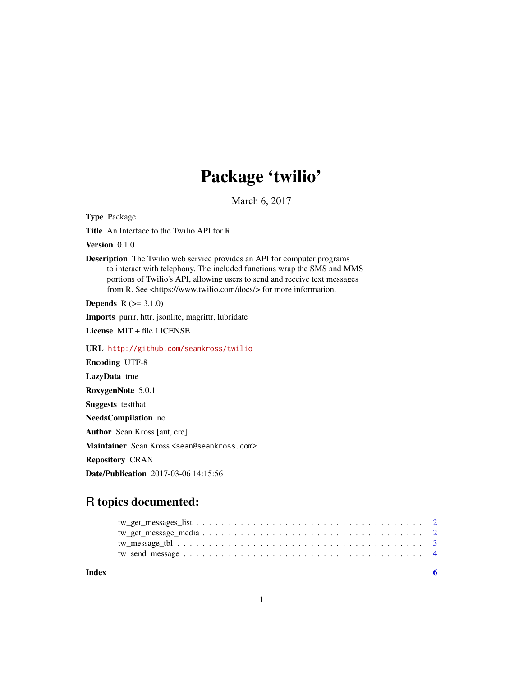## Package 'twilio'

March 6, 2017

Type Package

Title An Interface to the Twilio API for R

Version 0.1.0

Description The Twilio web service provides an API for computer programs to interact with telephony. The included functions wrap the SMS and MMS portions of Twilio's API, allowing users to send and receive text messages from R. See <https://www.twilio.com/docs/> for more information.

**Depends**  $R (=3.1.0)$ 

Imports purrr, httr, jsonlite, magrittr, lubridate

License MIT + file LICENSE

URL <http://github.com/seankross/twilio>

Encoding UTF-8 LazyData true RoxygenNote 5.0.1 Suggests testthat NeedsCompilation no Author Sean Kross [aut, cre] Maintainer Sean Kross <sean@seankross.com> Repository CRAN Date/Publication 2017-03-06 14:15:56

### R topics documented:

**Index** [6](#page-5-0) **6**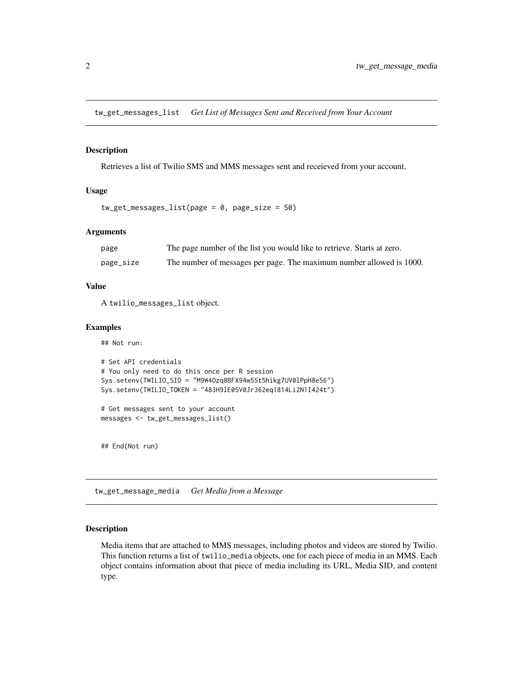<span id="page-1-1"></span><span id="page-1-0"></span>tw\_get\_messages\_list *Get List of Messages Sent and Received from Your Account*

#### Description

Retrieves a list of Twilio SMS and MMS messages sent and receieved from your account.

#### Usage

```
tw_get_messages_list(page = 0, page_size = 50)
```
#### Arguments

| page      | The page number of the list you would like to retrieve. Starts at zero. |
|-----------|-------------------------------------------------------------------------|
| page_size | The number of messages per page. The maximum number allowed is 1000.    |

#### Value

A twilio\_messages\_list object.

#### Examples

## Not run:

```
# Set API credentials
# You only need to do this once per R session
Sys.setenv(TWILIO_SID = "M9W4Ozq8BFX94w5St5hikg7UV0lPpH8e56")
Sys.setenv(TWILIO_TOKEN = "483H9lE05V0Jr362eq1814Li2N1I424t")
```
# Get messages sent to your account messages <- tw\_get\_messages\_list()

## End(Not run)

tw\_get\_message\_media *Get Media from a Message*

#### Description

Media items that are attached to MMS messages, including photos and videos are stored by Twilio. This function returns a list of twilio\_media objects, one for each piece of media in an MMS. Each object contains information about that piece of media including its URL, Media SID, and content type.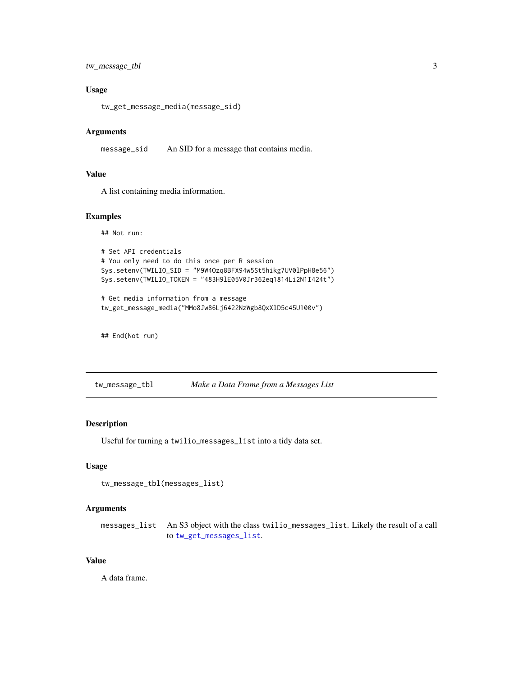<span id="page-2-0"></span>tw\_message\_tbl 3

#### Usage

tw\_get\_message\_media(message\_sid)

#### Arguments

message\_sid An SID for a message that contains media.

#### Value

A list containing media information.

#### Examples

```
## Not run:
```

```
# Set API credentials
# You only need to do this once per R session
Sys.setenv(TWILIO_SID = "M9W4Ozq8BFX94w5St5hikg7UV0lPpH8e56")
Sys.setenv(TWILIO_TOKEN = "483H9lE05V0Jr362eq1814Li2N1I424t")
# Get media information from a message
```

```
tw_get_message_media("MMo8Jw86Lj6422NzWgb8QxXlD5c45U100v")
```
## End(Not run)

tw\_message\_tbl *Make a Data Frame from a Messages List*

#### Description

Useful for turning a twilio\_messages\_list into a tidy data set.

#### Usage

```
tw_message_tbl(messages_list)
```
#### Arguments

messages\_list An S3 object with the class twilio\_messages\_list. Likely the result of a call to [tw\\_get\\_messages\\_list](#page-1-1).

#### Value

A data frame.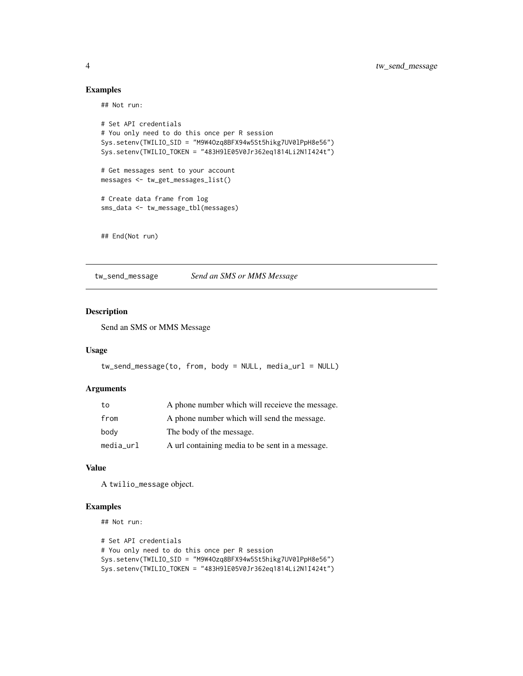#### Examples

## Not run:

```
# Set API credentials
# You only need to do this once per R session
Sys.setenv(TWILIO_SID = "M9W4Ozq8BFX94w5St5hikg7UV0lPpH8e56")
Sys.setenv(TWILIO_TOKEN = "483H9lE05V0Jr362eq1814Li2N1I424t")
# Get messages sent to your account
messages <- tw_get_messages_list()
# Create data frame from log
sms_data <- tw_message_tbl(messages)
```
## End(Not run)

tw\_send\_message *Send an SMS or MMS Message*

#### Description

Send an SMS or MMS Message

#### Usage

```
tw_send_message(to, from, body = NULL, media_url = NULL)
```
#### Arguments

| to        | A phone number which will receieve the message. |
|-----------|-------------------------------------------------|
| from      | A phone number which will send the message.     |
| body      | The body of the message.                        |
| media_url | A url containing media to be sent in a message. |

#### Value

A twilio\_message object.

#### Examples

## Not run:

```
# Set API credentials
# You only need to do this once per R session
Sys.setenv(TWILIO_SID = "M9W4Ozq8BFX94w5St5hikg7UV0lPpH8e56")
Sys.setenv(TWILIO_TOKEN = "483H9lE05V0Jr362eq1814Li2N1I424t")
```
<span id="page-3-0"></span>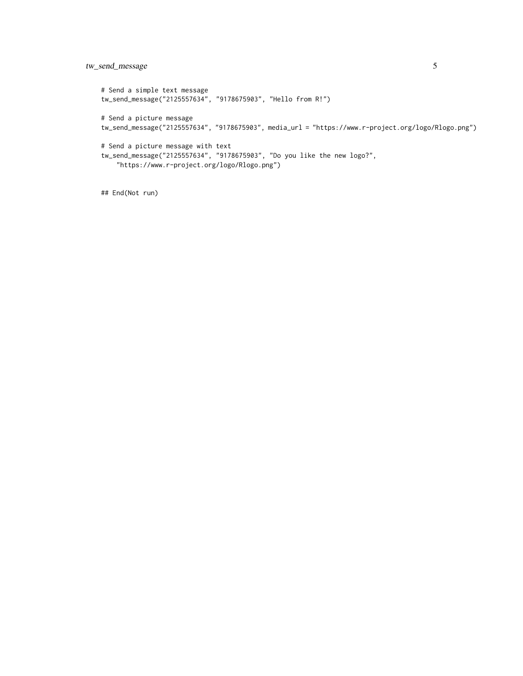#### tw\_send\_message 5

# Send a simple text message tw\_send\_message("2125557634", "9178675903", "Hello from R!") # Send a picture message tw\_send\_message("2125557634", "9178675903", media\_url = "https://www.r-project.org/logo/Rlogo.png") # Send a picture message with text tw\_send\_message("2125557634", "9178675903", "Do you like the new logo?", "https://www.r-project.org/logo/Rlogo.png")

## End(Not run)